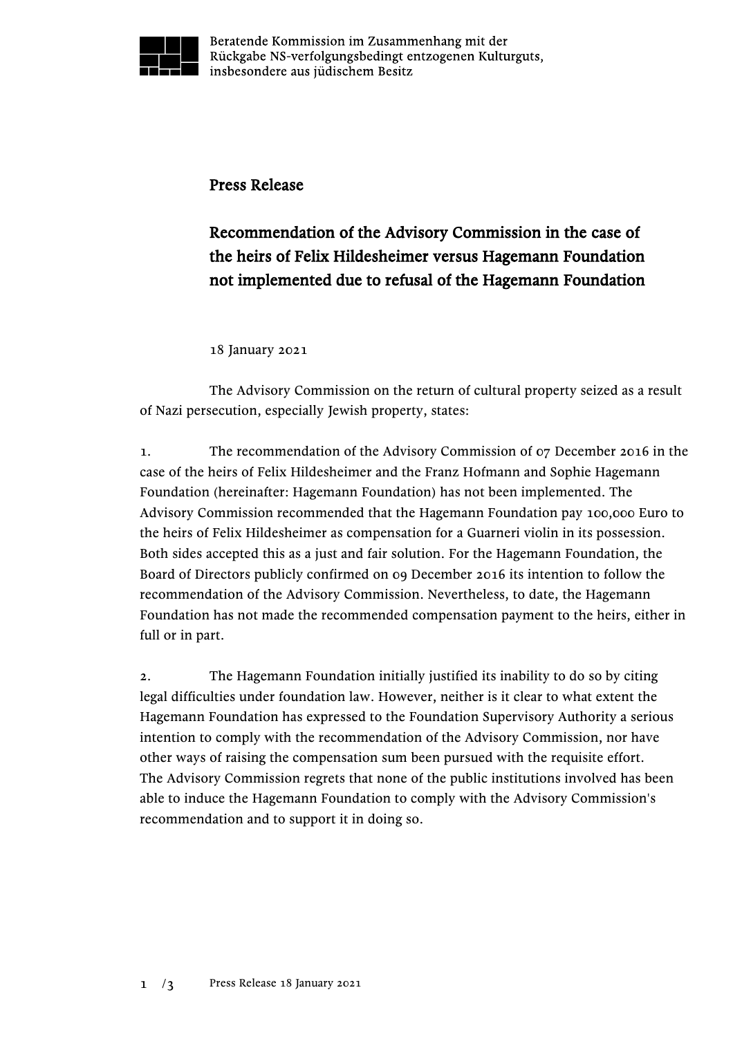

Beratende Kommission im Zusammenhang mit der Rückgabe NS-verfolgungsbedingt entzogenen Kulturguts, insbesondere aus jüdischem Besitz

## Press Release

## Recommendation of the Advisory Commission in the case of the heirs of Felix Hildesheimer versus Hagemann Foundation not implemented due to refusal of the Hagemann Foundation

18 January 2021

The Advisory Commission on the return of cultural property seized as a result of Nazi persecution, especially Jewish property, states:

1. The recommendation of the Advisory Commission of 07 December 2016 in the case of the heirs of Felix Hildesheimer and the Franz Hofmann and Sophie Hagemann Foundation (hereinafter: Hagemann Foundation) has not been implemented. The Advisory Commission recommended that the Hagemann Foundation pay 100,000 Euro to the heirs of Felix Hildesheimer as compensation for a Guarneri violin in its possession. Both sides accepted this as a just and fair solution. For the Hagemann Foundation, the Board of Directors publicly confirmed on 09 December 2016 its intention to follow the recommendation of the Advisory Commission. Nevertheless, to date, the Hagemann Foundation has not made the recommended compensation payment to the heirs, either in full or in part.

2. The Hagemann Foundation initially justified its inability to do so by citing legal difficulties under foundation law. However, neither is it clear to what extent the Hagemann Foundation has expressed to the Foundation Supervisory Authority a serious intention to comply with the recommendation of the Advisory Commission, nor have other ways of raising the compensation sum been pursued with the requisite effort. The Advisory Commission regrets that none of the public institutions involved has been able to induce the Hagemann Foundation to comply with the Advisory Commission's recommendation and to support it in doing so.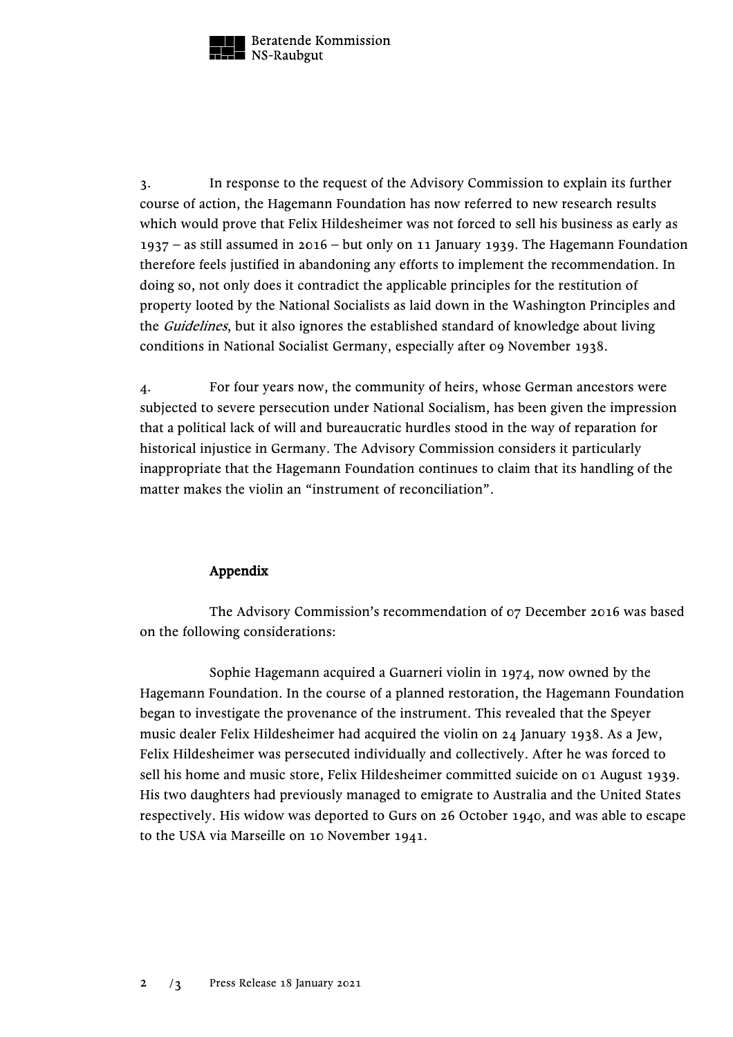

Beratende Kommission NS-Raubgut

3. In response to the request of the Advisory Commission to explain its further course of action, the Hagemann Foundation has now referred to new research results which would prove that Felix Hildesheimer was not forced to sell his business as early as 1937 – as still assumed in 2016 – but only on 11 January 1939. The Hagemann Foundation therefore feels justified in abandoning any efforts to implement the recommendation. In doing so, not only does it contradict the applicable principles for the restitution of property looted by the National Socialists as laid down in the Washington Principles and the Guidelines, but it also ignores the established standard of knowledge about living conditions in National Socialist Germany, especially after 09 November 1938.

4. For four years now, the community of heirs, whose German ancestors were subjected to severe persecution under National Socialism, has been given the impression that a political lack of will and bureaucratic hurdles stood in the way of reparation for historical injustice in Germany. The Advisory Commission considers it particularly inappropriate that the Hagemann Foundation continues to claim that its handling of the matter makes the violin an "instrument of reconciliation".

## Appendix

The Advisory Commission's recommendation of 07 December 2016 was based on the following considerations:

Sophie Hagemann acquired a Guarneri violin in 1974, now owned by the Hagemann Foundation. In the course of a planned restoration, the Hagemann Foundation began to investigate the provenance of the instrument. This revealed that the Speyer music dealer Felix Hildesheimer had acquired the violin on 24 January 1938. As a Jew, Felix Hildesheimer was persecuted individually and collectively. After he was forced to sell his home and music store, Felix Hildesheimer committed suicide on 01 August 1939. His two daughters had previously managed to emigrate to Australia and the United States respectively. His widow was deported to Gurs on 26 October 1940, and was able to escape to the USA via Marseille on 10 November 1941.